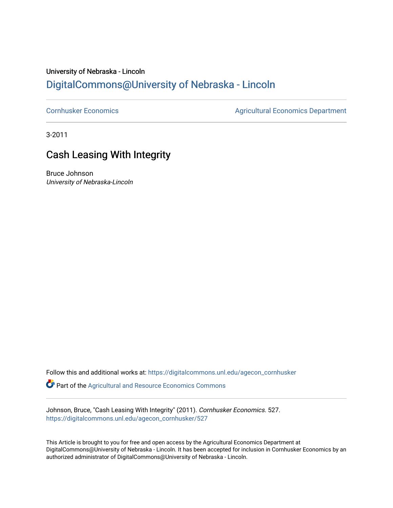### University of Nebraska - Lincoln [DigitalCommons@University of Nebraska - Lincoln](https://digitalcommons.unl.edu/)

[Cornhusker Economics](https://digitalcommons.unl.edu/agecon_cornhusker) **Agricultural Economics** Department

3-2011

## Cash Leasing With Integrity

Bruce Johnson University of Nebraska-Lincoln

Follow this and additional works at: [https://digitalcommons.unl.edu/agecon\\_cornhusker](https://digitalcommons.unl.edu/agecon_cornhusker?utm_source=digitalcommons.unl.edu%2Fagecon_cornhusker%2F527&utm_medium=PDF&utm_campaign=PDFCoverPages)  Part of the [Agricultural and Resource Economics Commons](http://network.bepress.com/hgg/discipline/317?utm_source=digitalcommons.unl.edu%2Fagecon_cornhusker%2F527&utm_medium=PDF&utm_campaign=PDFCoverPages) 

Johnson, Bruce, "Cash Leasing With Integrity" (2011). Cornhusker Economics. 527. [https://digitalcommons.unl.edu/agecon\\_cornhusker/527](https://digitalcommons.unl.edu/agecon_cornhusker/527?utm_source=digitalcommons.unl.edu%2Fagecon_cornhusker%2F527&utm_medium=PDF&utm_campaign=PDFCoverPages) 

This Article is brought to you for free and open access by the Agricultural Economics Department at DigitalCommons@University of Nebraska - Lincoln. It has been accepted for inclusion in Cornhusker Economics by an authorized administrator of DigitalCommons@University of Nebraska - Lincoln.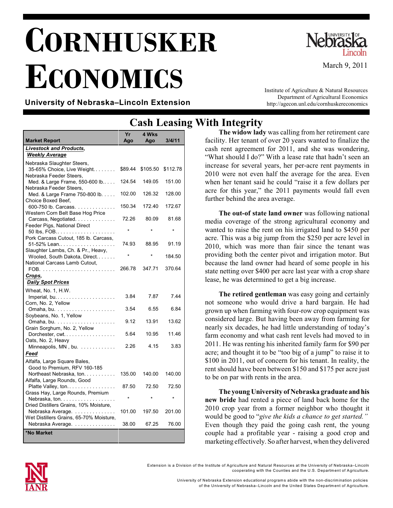# **CORNHUSKER ECONOMICS**



March 9, 2011

#### **University of Nebraska–Lincoln Extension**

Institute of Agriculture & Natural Resources Department of Agricultural Economics http://agecon.unl.edu/cornhuskereconomics

|                                                                                     | Саэп<br><b>Licasiii</b> } |              |          |
|-------------------------------------------------------------------------------------|---------------------------|--------------|----------|
| <b>Market Report</b>                                                                | Yr<br>Ago                 | 4 Wks<br>Ago | 3/4/11   |
| <b>Livestock and Products,</b><br><b>Weekly Average</b>                             |                           |              |          |
| Nebraska Slaughter Steers,<br>35-65% Choice, Live Weight<br>Nebraska Feeder Steers. | \$89.44                   | \$105.50     | \$112.78 |
| Med. & Large Frame, 550-600 lb<br>Nebraska Feeder Steers,                           | 124.54                    | 149.05       | 151.00   |
| Med. & Large Frame 750-800 lb.<br>Choice Boxed Beef.                                | 102.00                    | 126.32       | 128.00   |
| 600-750 lb. Carcass.<br>Western Corn Belt Base Hog Price                            | 150.34                    | 172.40       | 172.67   |
| Carcass, Negotiated.<br>Feeder Pigs, National Direct                                | 72.26                     | 80.09        | 81.68    |
| 50 lbs, FOB<br>Pork Carcass Cutout, 185 lb. Carcass,                                | ÷                         |              |          |
| 51-52% Lean<br>Slaughter Lambs, Ch. & Pr., Heavy,                                   | 74.93                     | 88.95        | 91.19    |
| Wooled, South Dakota, Direct<br>National Carcass Lamb Cutout,                       |                           |              | 184.50   |
| Crops,                                                                              | 266.78                    | 347.71       | 370.64   |
| <b>Daily Spot Prices</b>                                                            |                           |              |          |
| Wheat, No. 1, H.W.<br>Imperial, bu.<br>.<br>Corn, No. 2, Yellow                     | 3.84                      | 7.87         | 7.44     |
| Soybeans, No. 1, Yellow                                                             | 3.54                      | 6.55         | 6.84     |
| Grain Sorghum, No. 2, Yellow                                                        | 9.12                      | 13.91        | 13.62    |
| Dorchester, $cut. \ldots \ldots \ldots \ldots \ldots$<br>Oats, No. 2, Heavy         | 5.64                      | 10.95        | 11.46    |
| Minneapolis, MN, bu.<br>Feed                                                        | 2.26                      | 4.15         | 3.83     |
| Alfalfa, Large Square Bales,<br>Good to Premium, RFV 160-185                        |                           |              |          |
| Northeast Nebraska, ton.<br>Alfalfa, Large Rounds, Good                             | 135.00                    | 140.00       | 140.00   |
| Platte Valley, ton<br>Grass Hay, Large Rounds, Premium                              | 87.50                     | 72.50        | 72.50    |
| Nebraska, ton.<br>Dried Distillers Grains, 10% Moisture,                            | ÷                         |              |          |
| Nebraska Average.<br>Wet Distillers Grains, 65-70% Moisture,                        | 101.00                    | 197.50       | 201.00   |
| Nebraska Average.                                                                   | 38.00                     | 67.25        | 76.00    |
| *No Market                                                                          |                           |              |          |

## **Cash Leasing With Integrity**

**The widow lady** was calling from her retirement care facility. Her tenant of over 20 years wanted to finalize the cash rent agreement for 2011, and she was wondering, "What should I do?" With a lease rate that hadn't seen an increase for several years, her per-acre rent payments in 2010 were not even half the average for the area. Even when her tenant said he could "raise it a few dollars per acre for this year," the 2011 payments would fall even further behind the area average.

**The out-of state land owner** was following national media coverage of the strong agricultural economy and wanted to raise the rent on his irrigated land to \$450 per acre. This was a big jump from the \$250 per acre level in 2010, which was more than fair since the tenant was providing both the center pivot and irrigation motor. But because the land owner had heard of some people in his state netting over \$400 per acre last year with a crop share lease, he was determined to get a big increase.

**The retired gentleman** was easy going and certainly not someone who would drive a hard bargain. He had grown up when farming with four-row crop equipment was considered large. But having been away from farming for nearly six decades, he had little understanding of today's farm economy and what cash rent levels had moved to in 2011. He was renting his inherited family farm for \$90 per acre; and thought it to be "too big of a jump" to raise it to \$100 in 2011, out of concern for his tenant. In reality, the rent should have been between \$150 and \$175 per acre just to be on par with rents in the area.

**The young University of Nebraska graduate andhis new bride** had rented a piece of land back home for the 2010 crop year from a former neighbor who thought it would be good to "*give the kids a chance to get started."* Even though they paid the going cash rent, the young couple had a profitable year - raising a good crop and marketing effectively. So after harvest, when they delivered



University of Nebraska Extension educational program s abide with the non-discrim ination policies of the University of Nebraska–Lincoln and the United States Departm ent of Agriculture.